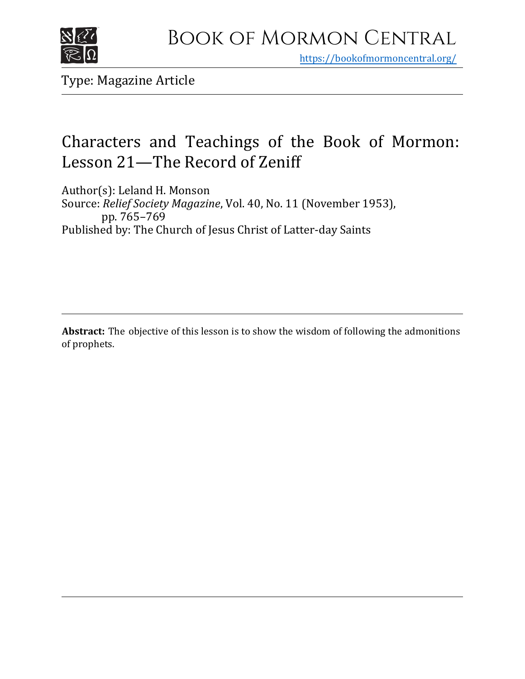

https[://bookofmormoncentral.org/](http://bookofmormoncentral.org/)

Type: Magazine Article

## Characters and Teachings of the Book of Mormon: Lesson 21—The Record of Zeniff

Author(s): Leland H. Monson Source: *Relief Society Magazine*, Vol. 40, No. 11 (November 1953), pp. 765–769 Published by: The Church of Jesus Christ of Latter-day Saints

**Abstract:** The objective of this lesson is to show the wisdom of following the admonitions of prophets.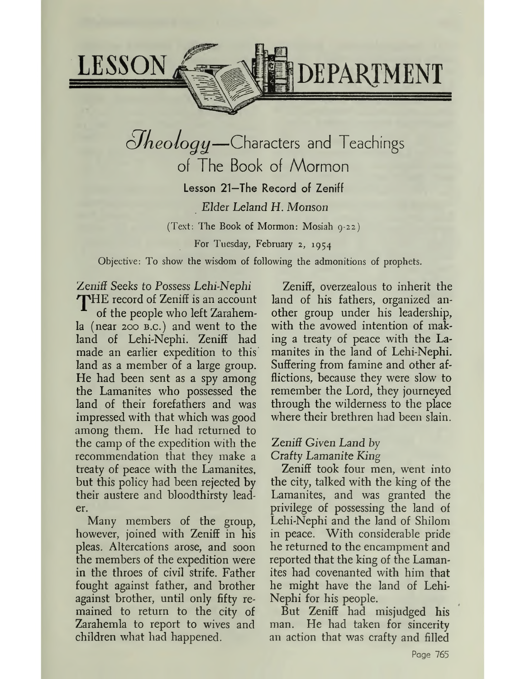

# $O$ *heology*—Characters and Teachings of The Book of Mormon Lesson 21—The Record of Zeniff *Elder Leland H. Monson* (Text: The Book of Mormon: Mosiah 9-22)

For Tuesday, February 2, 1954

Objective: To show the wisdom of following the admonitions of prophets.

Zemif *Seeks to Possess Lehi-Nephi*

THE record of Zeniff is an account of the people who left Zarahemla (near 200 b.c.) and went to the land of Lehi-Nephi. Zeniff had made an earlier expedition to this land as a member of a large group. He had been sent as a spy among the Lamanites who possessed the land of their forefathers and was impressed with that which was good among them. He had returned to the camp of the expedition with the recommendation that they make a treaty of peace with the Lamanites, but this policy had been rejected by their austere and bloodthirsty leader.

Many members of the group, however, joined with Zeniff in his pleas. Altercations arose, and soon the members of the expedition were in the throes of civil strife. Father fought against father, and brother against brother, until only fifty remained to return to the city of Zarahemla to report to wives and children what had happened.

Zeniff, overzealous to inherit the land of his fathers, organized another group under his leadership, with the avowed intention of making a treaty of peace with the Lamanites in the land of Lehi-Nephi. Suffering from famine and other afflictions, because they were slow to remember the Lord, they journeyed through the wilderness to the place where their brethren had been slain.

## *Zeniff Given Land by Crafty Lamanite King*

Zeniff took four men, went into the city, talked with the king of the Lamanites, and was granted the privilege of possessing the land of Lehi-Nephi and the land of Shilom in peace. With considerable pride he returned to the encampment and reported that the king of the Lamanites had covenanted with him that he might have the land of Lehi-Nephi for his people.

But Zeniff had misjudged his man. He had taken for sincerity an action that was crafty and filled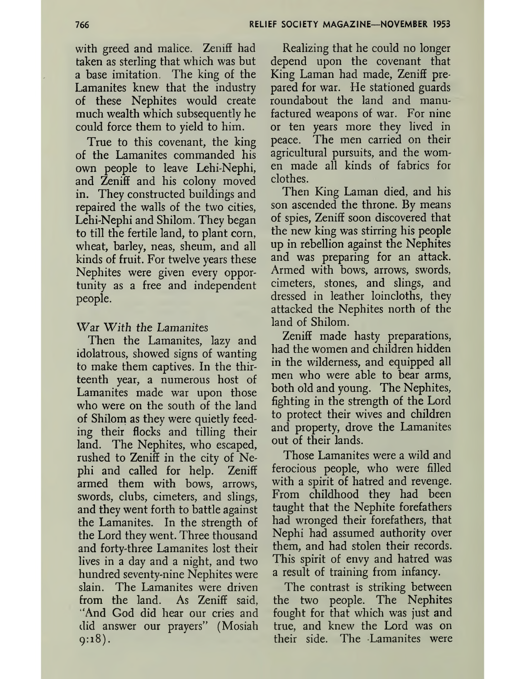with greed and malice. Zeniff had taken as sterling that which was but a base imitation. The king of the Lamanites knew that the industry of these Nephites would create much wealth which subsequently he could force them to yield to him.

True to this covenant, the king of the Lamanites commanded his own people to leave Lehi-Nephi, and Zeniff and his colony moved in. They constructed buildings and repaired the walls of the two cities, Lehi-Nephi and Shilom. They began to till the fertile land, to plant corn, wheat, barley, neas, sheum, and all kinds of fruit. For twelve years these Nephites were given every opportunity as a free and independent people.

#### War With *the Lamanites*

Then the Lamanites, lazy and idolatrous, showed signs of wanting to make them captives. In the thirteenth year, a numerous host of Lamanites made war upon those who were on the south of the land of Shilom as they were quietly feeding their flocks and tilling their land. The Nephites, who escaped, rushed to Zeniff in the city of Nephi and called for help. Zeniff armed them with bows, arrows, swords, clubs, cimeters, and slings, and they went forth to battle against the Lamanites. In the strength of the Lord they went. Three thousand and forty-three Lamanites lost their lives in a day and a night, and two hundred seventy-nine Nephites were slain. The Lamanites were driven from the land. As Zeniff said, And God did hear our cries and did answer our prayers'" (Mosiah 9:18).

Realizing that he could no longer depend upon the covenant that King Laman had made, Zeniff prepared for war. He stationed guards roundabout the land and manufactured weapons of war. For nine or ten years more they lived in peace. The men carried on their agricultural pursuits, and the women made all kinds of fabrics for clothes.

Then King Laman died, and his son ascended the throne. By means of spies, Zeniff soon discovered that the new king was stirring his people up in rebellion against the Nephites and was preparing for an attack. Armed with bows, arrows, swords, cimeters, stones, and slings, and dressed in leather loincloths, they attacked the Nephites north of the land of Shilom.

Zeniff made hasty preparations, had the women and children hidden in the wilderness, and equipped all men who were able to bear arms, both old and young. The Nephites, fighting in the strength of the Lord to protect their wives and children and property, drove the Lamanites out of their lands.

Those Lamanites were a wild and ferocious people, who were filled with a spirit of hatred and revenge. From childhood they had been taught that the Nephite forefathers had wronged their forefathers, that Nephi had assumed authority over them, and had stolen their records. This spirit of envy and hatred was a result of training from infancy.

The contrast is striking between the two people. The Nephites fought for that which was just and true, and knew the Lord was on their side. The Lamanites were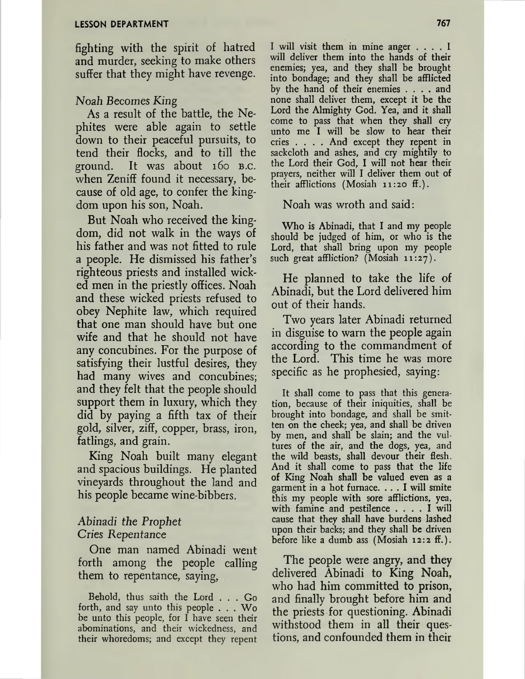fighting with the spirit of hatred and murder, seeking to make others suffer that they might have revenge.

#### *Noah Becomes King*

*As* a result of the battle, the Nephites were able again to settle down to their peaceful pursuits, to tend their flocks, and to till the ground. It was about 160 b.c. when Zeniff found it necessary, because of old age, to confer the kingdom upon his son, Noah.

But Noah who received the kingdom, did not walk in the ways of his father and was not fitted to rule a people. He dismissed his father'<sup>s</sup> righteous priests and installed wicked men in the priestly offices. Noah and these wicked priests refused to obey Nephite law, which required that one man should have but one wife and that he should not have any concubines. For the purpose of satisfying their lustful desires, they had many wives and concubines; and they felt that the people should support them in luxury, which they did by paying a fifth tax of their gold, silver, ziff, copper, brass, iron, fatlings, and grain.

King Noah built many elegant and spacious buildings. He planted vineyards throughout the land and his people became wine-bibbers.

#### *Abinadi the Prophet Cries Repentance*

One man named Abinadi went forth among the people calling them to repentance, saying,

Behold, thus saith the Lord . . . Go forth, and say unto this people . . . Wo be unto this people, for I have seen their abominations, and their wickedness, and their whoredoms; and except they repent <sup>I</sup> will visit them in mine anger .... <sup>I</sup> will deliver them into the hands of their enemies; yea, and they shall be brought into bondage; and they shall be afflicted by the hand of their enemies .... and none shall deliver them, except it be the Lord the Almighty God. Yea, and it shall come to pass that when they shall cry unto me I will be slow to hear their cries .... And except they repent in sackcloth and ashes, and cry mightily to the Lord their God, I will not hear their prayers, neither will I deliver them out of their afflictions (Mosiah 11:20 ff.).

Noah was wroth and said:

Who is Abinadi, that I and my people should be judged of him, or who is the Lord, that shall bring upon my people such great affliction? (Mosiah 11:27).

He planned to take the life of Abinadi, but the Lord delivered him out of their hands.

Two years later Abinadi returned in disguise to warn the people again according to the commandment of the Lord. This time he was more specific as he prophesied, saying:

It shall come to pass that this generation, because of their iniquities, shall be brought into bondage, and shall be smitten on the cheek; yea, and shall be driven by men, and shall be slain; and the vultures of the air, and the dogs, yea, and the wild beasts, shall devour their flesh. And it shall come to pass that the life of King Noah shall be valued even as a garment in <sup>a</sup> hot furnace. ... <sup>I</sup> will smite this my people with sore afflictions, yea, with famine and pestilence .... <sup>I</sup> will cause that they shall have burdens lashed upon their backs; and they shall be driven before like a dumb ass (Mosiah 12:2 ff.).

The people were angry, and they delivered Abinadi to King Noah, who had him committed to prison, and finally brought before him and the priests for questioning. Abinadi withstood them in all their questions, and confounded them in their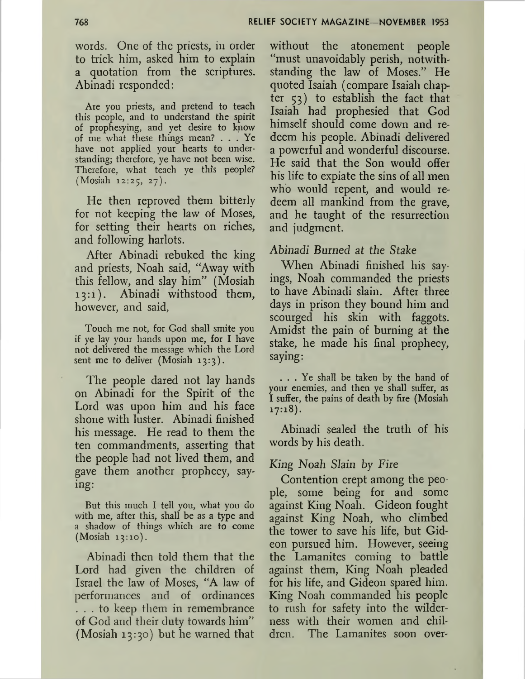words. One of the priests, in order to trick him, asked him to explain a quotation from the scriptures. Abinadi responded:

Are you priests, and pretend to teach this people, and to understand the spirit of prophesying, and yet desire to know of me what these things mean? ... Ye have not applied your hearts to understanding; therefore, ye have not been wise. Therefore, what teach ye this people? (Mosiah 12:25, 27).

He then reproved them bitterly for not keeping the law of Moses, for setting their hearts on riches, and following harlots.

After Abinadi rebuked the king and priests, Noah said, "Away with this fellow, and slay him" (Mosiah 13:1). Abinadi withstood them, however, and said,

Touch me not, for God shall smite you if ye lay your hands upon me, for I have not delivered the message which the Lord sent me to deliver (Mosiah 13:3).

The people dared not lay hands on Abinadi for the Spirit of the Lord was upon him and his face shone with luster. Abinadi finished his message. He read to them the ten commandments, asserting that the people had not lived them, and gave them another prophecy, saying:

But this much I tell you, what you do with me, after this, shall be as a type and a shadow of things which are to come (Mosiah 13:10).

Abinadi then told them that the Lord had given the children of Israel the law of Moses, "A law of performances and of ordinances ... to keep them in remembrance of God and their duty towards him" (Mosiah 13:30) but he warned that

without the atonement people "must unavoidably perish, notwithstanding the law of Moses." He quoted Isaiah (compare Isaiah chapter 53) to establish the fact that Isaiah had prophesied that God himself should come down and redeem his people. Abinadi delivered a powerful and wonderful discourse. He said that the Son would offer his life to expiate the sins of all men who would repent, and would redeem all mankind from the grave, and he taught of the resurrection and judgment.

*Abinadi Burned at the Stake*

When Abinadi finished his sayings, Noah commanded the priests to have Abinadi slain. After three days in prison they bound him and scourged his skin with faggots. Amidst the pain of burning at the stake, he made his final prophecy, saying:

... Ye shall be taken by the hand of your enemies, and then ye shall suffer, as I suffer, the pains of death by fire (Mosiah 17:18).

Abinadi sealed the truth of his words by his death.

#### *King Noah Slain by Fire*

Contention crept among the people, some being for and some against King Noah. Gideon fought against King Noah, who climbed the tower to save his life, but Gideon pursued him. However, seeing the Lamanites coming to battle against them, King Noah pleaded for his life, and Gideon spared him. King Noah commanded his people to rush for safety into the wilderness with their women and children. The Lamanites soon over